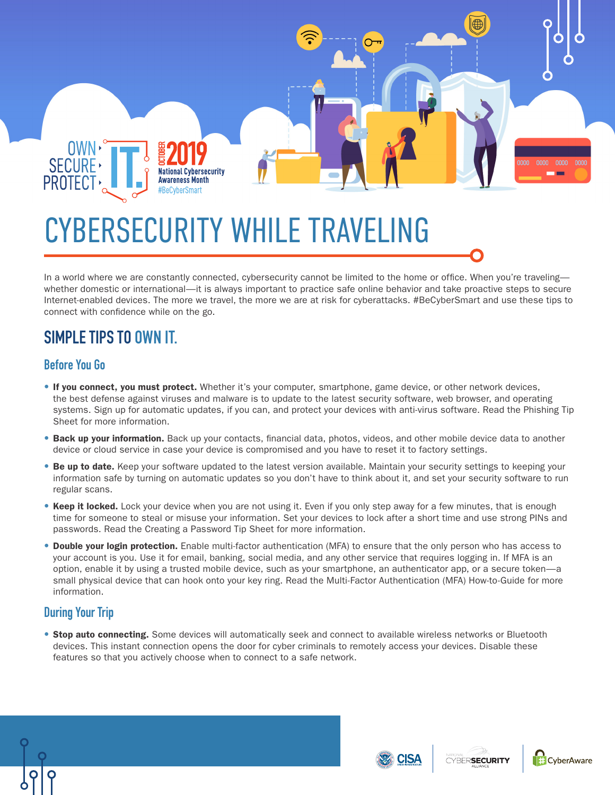

## CYBERSECURITY WHILE TRAVELING

In a world where we are constantly connected, cybersecurity cannot be limited to the home or office. When you're traveling whether domestic or international—it is always important to practice safe online behavior and take proactive steps to secure Internet-enabled devices. The more we travel, the more we are at risk for cyberattacks. #BeCyberSmart and use these tips to connect with confidence while on the go.

## **SIMPLE TIPS TO OWN IT.**

## **Before You Go**

- If you connect, you must protect. Whether it's your computer, smartphone, game device, or other network devices, the best defense against viruses and malware is to update to the latest security software, web browser, and operating systems. Sign up for automatic updates, if you can, and protect your devices with anti-virus software. Read the Phishing Tip Sheet for more information.
- Back up your information. Back up your contacts, financial data, photos, videos, and other mobile device data to another device or cloud service in case your device is compromised and you have to reset it to factory settings.
- Be up to date. Keep your software updated to the latest version available. Maintain your security settings to keeping your information safe by turning on automatic updates so you don't have to think about it, and set your security software to run regular scans.
- Keep it locked. Lock your device when you are not using it. Even if you only step away for a few minutes, that is enough time for someone to steal or misuse your information. Set your devices to lock after a short time and use strong PINs and passwords. Read the Creating a Password Tip Sheet for more information.
- Double your login protection. Enable multi-factor authentication (MFA) to ensure that the only person who has access to your account is you. Use it for email, banking, social media, and any other service that requires logging in. If MFA is an option, enable it by using a trusted mobile device, such as your smartphone, an authenticator app, or a secure token—a small physical device that can hook onto your key ring. Read the Multi-Factor Authentication (MFA) How-to-Guide for more information.

## **During Your Trip**

**• Stop auto connecting.** Some devices will automatically seek and connect to available wireless networks or Bluetooth devices. This instant connection opens the door for cyber criminals to remotely access your devices. Disable these features so that you actively choose when to connect to a safe network.